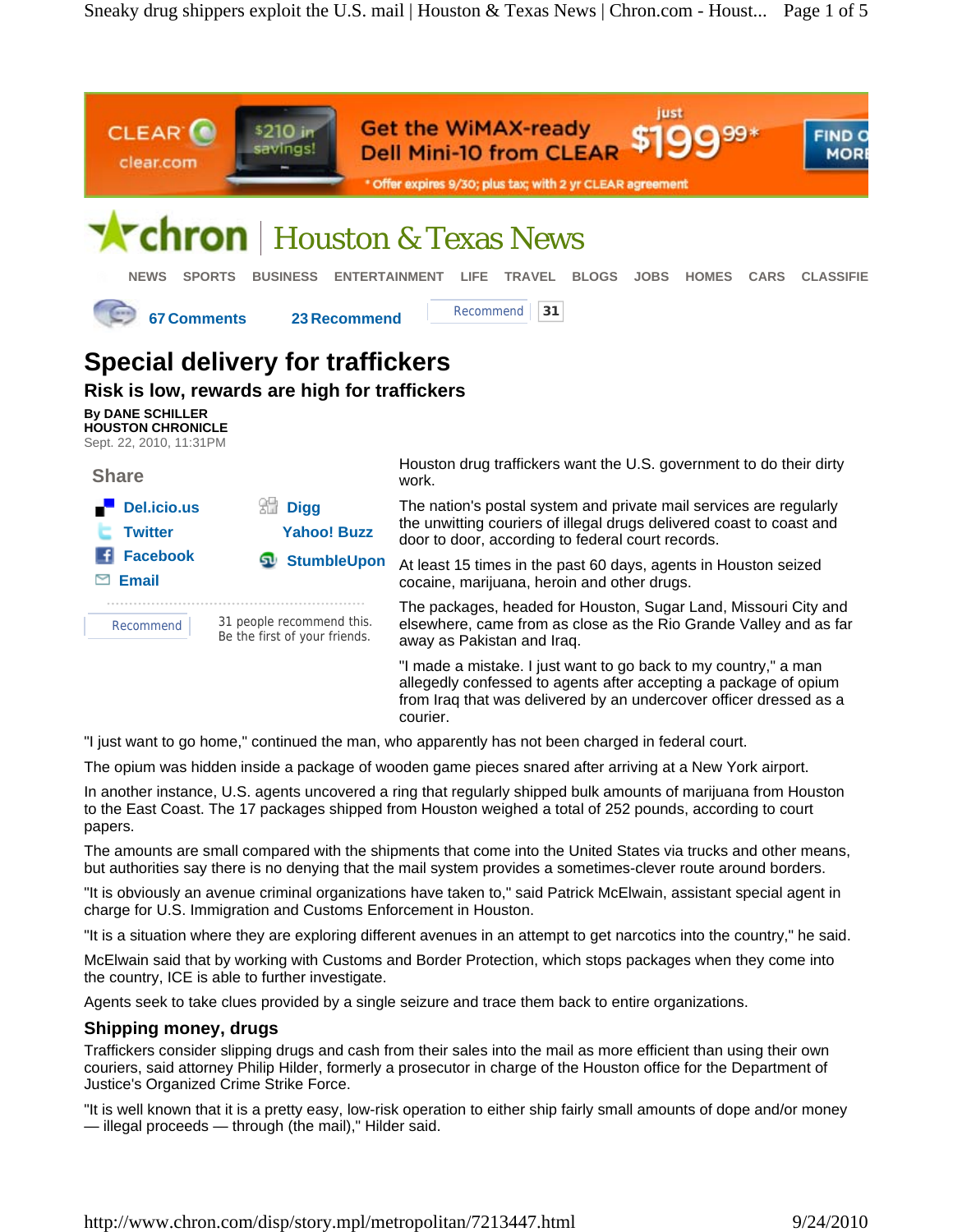

"I just want to go home," continued the man, who apparently has not been charged in federal court.

The opium was hidden inside a package of wooden game pieces snared after arriving at a New York airport.

In another instance, U.S. agents uncovered a ring that regularly shipped bulk amounts of marijuana from Houston to the East Coast. The 17 packages shipped from Houston weighed a total of 252 pounds, according to court papers.

The amounts are small compared with the shipments that come into the United States via trucks and other means, but authorities say there is no denying that the mail system provides a sometimes-clever route around borders.

"It is obviously an avenue criminal organizations have taken to," said Patrick McElwain, assistant special agent in charge for U.S. Immigration and Customs Enforcement in Houston.

"It is a situation where they are exploring different avenues in an attempt to get narcotics into the country," he said.

McElwain said that by working with Customs and Border Protection, which stops packages when they come into the country, ICE is able to further investigate.

Agents seek to take clues provided by a single seizure and trace them back to entire organizations.

## **Shipping money, drugs**

Traffickers consider slipping drugs and cash from their sales into the mail as more efficient than using their own couriers, said attorney Philip Hilder, formerly a prosecutor in charge of the Houston office for the Department of Justice's Organized Crime Strike Force.

"It is well known that it is a pretty easy, low-risk operation to either ship fairly small amounts of dope and/or money — illegal proceeds — through (the mail)," Hilder said.